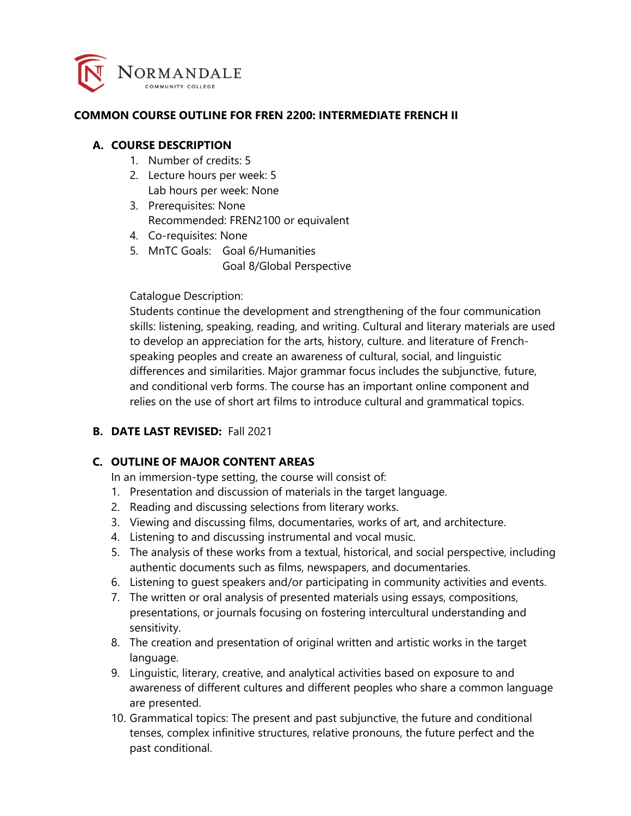

#### **COMMON COURSE OUTLINE FOR FREN 2200: INTERMEDIATE FRENCH II**

#### **A. COURSE DESCRIPTION**

- 1. Number of credits: 5
- 2. Lecture hours per week: 5 Lab hours per week: None
- 3. Prerequisites: None Recommended: FREN2100 or equivalent
- 4. Co-requisites: None
- 5. MnTC Goals: Goal 6/Humanities Goal 8/Global Perspective

### Catalogue Description:

Students continue the development and strengthening of the four communication skills: listening, speaking, reading, and writing. Cultural and literary materials are used to develop an appreciation for the arts, history, culture. and literature of Frenchspeaking peoples and create an awareness of cultural, social, and linguistic differences and similarities. Major grammar focus includes the subjunctive, future, and conditional verb forms. The course has an important online component and relies on the use of short art films to introduce cultural and grammatical topics.

### **B. DATE LAST REVISED:** Fall 2021

### **C. OUTLINE OF MAJOR CONTENT AREAS**

In an immersion-type setting, the course will consist of:

- 1. Presentation and discussion of materials in the target language.
- 2. Reading and discussing selections from literary works.
- 3. Viewing and discussing films, documentaries, works of art, and architecture.
- 4. Listening to and discussing instrumental and vocal music.
- 5. The analysis of these works from a textual, historical, and social perspective, including authentic documents such as films, newspapers, and documentaries.
- 6. Listening to guest speakers and/or participating in community activities and events.
- 7. The written or oral analysis of presented materials using essays, compositions, presentations, or journals focusing on fostering intercultural understanding and sensitivity.
- 8. The creation and presentation of original written and artistic works in the target language.
- 9. Linguistic, literary, creative, and analytical activities based on exposure to and awareness of different cultures and different peoples who share a common language are presented.
- 10. Grammatical topics: The present and past subjunctive, the future and conditional tenses, complex infinitive structures, relative pronouns, the future perfect and the past conditional.